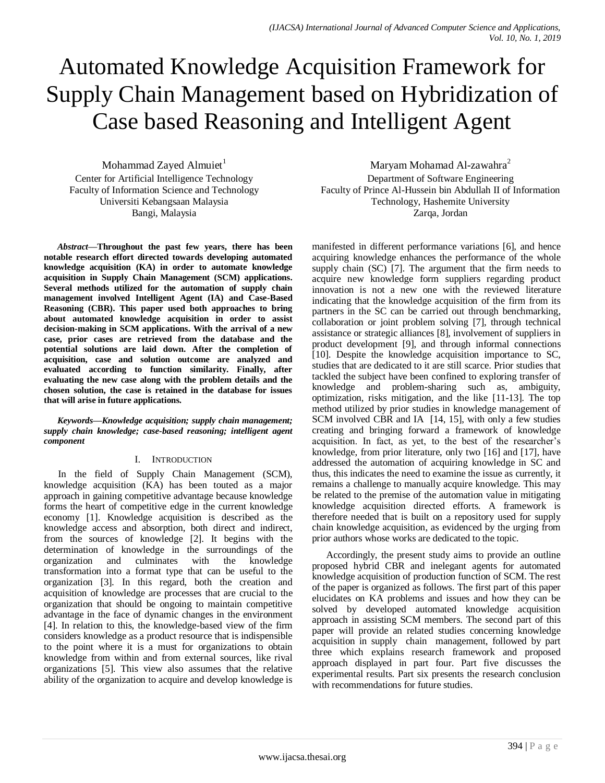# Automated Knowledge Acquisition Framework for Supply Chain Management based on Hybridization of Case based Reasoning and Intelligent Agent

Mohammad Zayed Almuiet<sup>1</sup> Center for Artificial Intelligence Technology Faculty of Information Science and Technology Universiti Kebangsaan Malaysia Bangi, Malaysia

*Abstract***—Throughout the past few years, there has been notable research effort directed towards developing automated knowledge acquisition (KA) in order to automate knowledge acquisition in Supply Chain Management (SCM) applications. Several methods utilized for the automation of supply chain management involved Intelligent Agent (IA) and Case-Based Reasoning (CBR). This paper used both approaches to bring about automated knowledge acquisition in order to assist decision-making in SCM applications. With the arrival of a new case, prior cases are retrieved from the database and the potential solutions are laid down. After the completion of acquisition, case and solution outcome are analyzed and evaluated according to function similarity. Finally, after evaluating the new case along with the problem details and the chosen solution, the case is retained in the database for issues that will arise in future applications.**

*Keywords—Knowledge acquisition; supply chain management; supply chain knowledge; case-based reasoning; intelligent agent component*

#### I. INTRODUCTION

In the field of Supply Chain Management (SCM), knowledge acquisition (KA) has been touted as a major approach in gaining competitive advantage because knowledge forms the heart of competitive edge in the current knowledge economy [\[1\]](#page-7-0). Knowledge acquisition is described as the knowledge access and absorption, both direct and indirect, from the sources of knowledge [\[2\]](#page-7-1). It begins with the determination of knowledge in the surroundings of the organization and culminates with the knowledge transformation into a format type that can be useful to the organization [\[3\]](#page-7-2). In this regard, both the creation and acquisition of knowledge are processes that are crucial to the organization that should be ongoing to maintain competitive advantage in the face of dynamic changes in the environment [\[4\]](#page-8-0). In relation to this, the knowledge-based view of the firm considers knowledge as a product resource that is indispensible to the point where it is a must for organizations to obtain knowledge from within and from external sources, like rival organizations [\[5\]](#page-8-1). This view also assumes that the relative ability of the organization to acquire and develop knowledge is

Maryam Mohamad Al-zawahra<sup>2</sup> Department of Software Engineering Faculty of Prince Al-Hussein bin Abdullah II of Information Technology, Hashemite University Zarqa, Jordan

manifested in different performance variations [\[6\]](#page-8-2), and hence acquiring knowledge enhances the performance of the whole supply chain (SC) [\[7\]](#page-8-3). The argument that the firm needs to acquire new knowledge form suppliers regarding product innovation is not a new one with the reviewed literature indicating that the knowledge acquisition of the firm from its partners in the SC can be carried out through benchmarking, collaboration or joint problem solving [\[7\]](#page-8-3), through technical assistance or strategic alliances [\[8\]](#page-8-4), involvement of suppliers in product development [\[9\]](#page-8-5), and through informal connections [\[10\]](#page-8-6). Despite the knowledge acquisition importance to SC, studies that are dedicated to it are still scarce. Prior studies that tackled the subject have been confined to exploring transfer of knowledge and problem-sharing such as, ambiguity, optimization, risks mitigation, and the like [\[11-13\]](#page-8-7). The top method utilized by prior studies in knowledge management of SCM involved CBR and IA [\[14,](#page-8-8) [15\]](#page-8-9), with only a few studies creating and bringing forward a framework of knowledge acquisition. In fact, as yet, to the best of the researcher's knowledge, from prior literature, only two [\[16\]](#page-8-10) and [\[17\]](#page-8-11), have addressed the automation of acquiring knowledge in SC and thus, this indicates the need to examine the issue as currently, it remains a challenge to manually acquire knowledge. This may be related to the premise of the automation value in mitigating knowledge acquisition directed efforts. A framework is therefore needed that is built on a repository used for supply chain knowledge acquisition, as evidenced by the urging from prior authors whose works are dedicated to the topic.

Accordingly, the present study aims to provide an outline proposed hybrid CBR and inelegant agents for automated knowledge acquisition of production function of SCM. The rest of the paper is organized as follows. The first part of this paper elucidates on KA problems and issues and how they can be solved by developed automated knowledge acquisition approach in assisting SCM members. The second part of this paper will provide an related studies concerning knowledge acquisition in supply chain management, followed by part three which explains research framework and proposed approach displayed in part four. Part five discusses the experimental results. Part six presents the research conclusion with recommendations for future studies.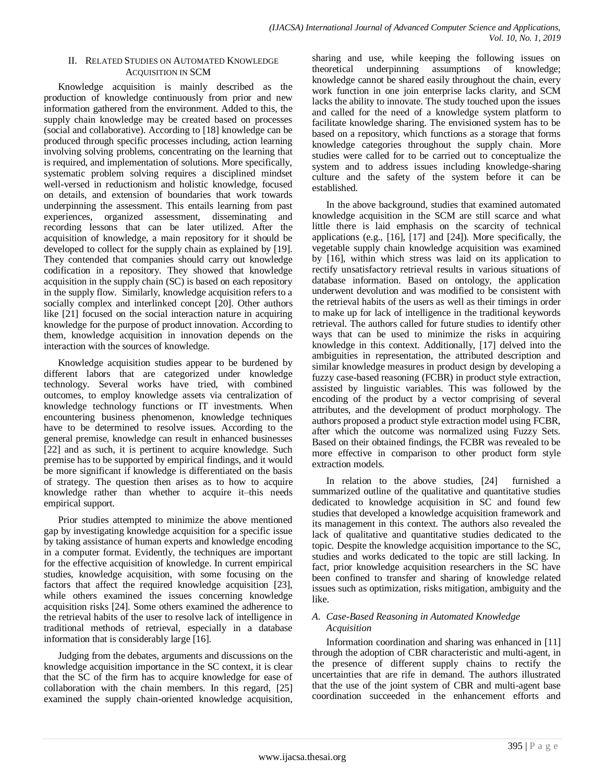### II. RELATED STUDIES ON AUTOMATED KNOWLEDGE ACQUISITION IN SCM

Knowledge acquisition is mainly described as the production of knowledge continuously from prior and new information gathered from the environment. Added to this, the supply chain knowledge may be created based on processes (social and collaborative). According to [\[18\]](#page-8-12) knowledge can be produced through specific processes including, action learning involving solving problems, concentrating on the learning that is required, and implementation of solutions. More specifically, systematic problem solving requires a disciplined mindset well-versed in reductionism and holistic knowledge, focused on details, and extension of boundaries that work towards underpinning the assessment. This entails learning from past experiences, organized assessment, disseminating and recording lessons that can be later utilized. After the acquisition of knowledge, a main repository for it should be developed to collect for the supply chain as explained by [\[19\]](#page-8-13). They contended that companies should carry out knowledge codification in a repository. They showed that knowledge acquisition in the supply chain (SC) is based on each repository in the supply flow. Similarly, knowledge acquisition refers to a socially complex and interlinked concept [\[20\]](#page-8-14). Other authors like [\[21\]](#page-8-15) focused on the social interaction nature in acquiring knowledge for the purpose of product innovation. According to them, knowledge acquisition in innovation depends on the interaction with the sources of knowledge.

Knowledge acquisition studies appear to be burdened by different labors that are categorized under knowledge technology. Several works have tried, with combined outcomes, to employ knowledge assets via centralization of knowledge technology functions or IT investments. When encountering business phenomenon, knowledge techniques have to be determined to resolve issues. According to the general premise, knowledge can result in enhanced businesses [\[22\]](#page-8-16) and as such, it is pertinent to acquire knowledge. Such premise has to be supported by empirical findings, and it would be more significant if knowledge is differentiated on the basis of strategy. The question then arises as to how to acquire knowledge rather than whether to acquire it–this needs empirical support.

Prior studies attempted to minimize the above mentioned gap by investigating knowledge acquisition for a specific issue by taking assistance of human experts and knowledge encoding in a computer format. Evidently, the techniques are important for the effective acquisition of knowledge. In current empirical studies, knowledge acquisition, with some focusing on the factors that affect the required knowledge acquisition [\[23\]](#page-8-17), while others examined the issues concerning knowledge acquisition risks [\[24\]](#page-8-18). Some others examined the adherence to the retrieval habits of the user to resolve lack of intelligence in traditional methods of retrieval, especially in a database information that is considerably large [\[16\]](#page-8-10).

Judging from the debates, arguments and discussions on the knowledge acquisition importance in the SC context, it is clear that the SC of the firm has to acquire knowledge for ease of collaboration with the chain members. In this regard, [\[25\]](#page-8-19) examined the supply chain-oriented knowledge acquisition, sharing and use, while keeping the following issues on theoretical underpinning assumptions of knowledge; knowledge cannot be shared easily throughout the chain, every work function in one join enterprise lacks clarity, and SCM lacks the ability to innovate. The study touched upon the issues and called for the need of a knowledge system platform to facilitate knowledge sharing. The envisioned system has to be based on a repository, which functions as a storage that forms knowledge categories throughout the supply chain. More studies were called for to be carried out to conceptualize the system and to address issues including knowledge-sharing culture and the safety of the system before it can be established.

In the above background, studies that examined automated knowledge acquisition in the SCM are still scarce and what little there is laid emphasis on the scarcity of technical applications (e.g., [\[16\]](#page-8-10), [\[17\]](#page-8-11) and [\[24\]](#page-8-18)). More specifically, the vegetable supply chain knowledge acquisition was examined by [16], within which stress was laid on its application to rectify unsatisfactory retrieval results in various situations of database information. Based on ontology, the application underwent devolution and was modified to be consistent with the retrieval habits of the users as well as their timings in order to make up for lack of intelligence in the traditional keywords retrieval. The authors called for future studies to identify other ways that can be used to minimize the risks in acquiring knowledge in this context. Additionally, [\[17\]](#page-8-11) delved into the ambiguities in representation, the attributed description and similar knowledge measures in product design by developing a fuzzy case-based reasoning (FCBR) in product style extraction, assisted by linguistic variables. This was followed by the encoding of the product by a vector comprising of several attributes, and the development of product morphology. The authors proposed a product style extraction model using FCBR, after which the outcome was normalized using Fuzzy Sets. Based on their obtained findings, the FCBR was revealed to be more effective in comparison to other product form style extraction models.

In relation to the above studies, [\[24\]](#page-8-18) furnished a summarized outline of the qualitative and quantitative studies dedicated to knowledge acquisition in SC and found few studies that developed a knowledge acquisition framework and its management in this context. The authors also revealed the lack of qualitative and quantitative studies dedicated to the topic. Despite the knowledge acquisition importance to the SC, studies and works dedicated to the topic are still lacking. In fact, prior knowledge acquisition researchers in the SC have been confined to transfer and sharing of knowledge related issues such as optimization, risks mitigation, ambiguity and the like.

### *A. Case-Based Reasoning in Automated Knowledge Acquisition*

Information coordination and sharing was enhanced in [\[11\]](#page-8-7) through the adoption of CBR characteristic and multi-agent, in the presence of different supply chains to rectify the uncertainties that are rife in demand. The authors illustrated that the use of the joint system of CBR and multi-agent base coordination succeeded in the enhancement efforts and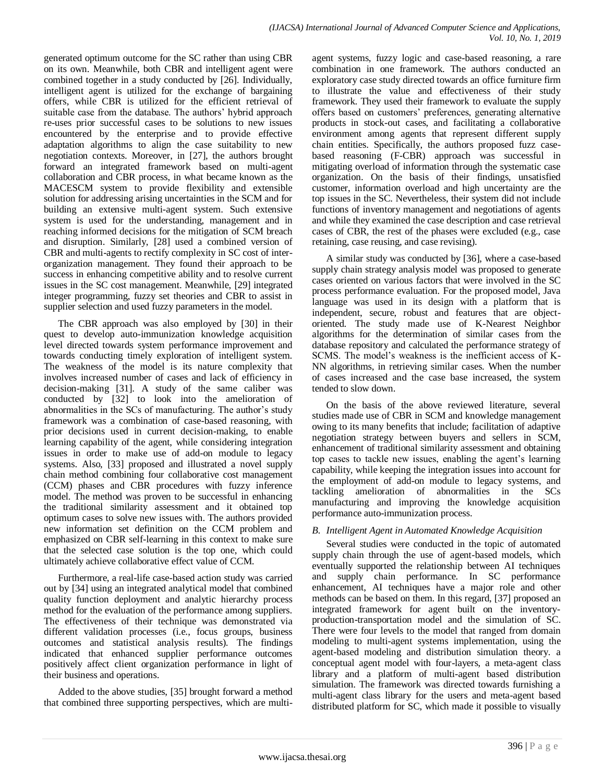generated optimum outcome for the SC rather than using CBR on its own. Meanwhile, both CBR and intelligent agent were combined together in a study conducted by [\[26\]](#page-8-20). Individually, intelligent agent is utilized for the exchange of bargaining offers, while CBR is utilized for the efficient retrieval of suitable case from the database. The authors' hybrid approach re-uses prior successful cases to be solutions to new issues encountered by the enterprise and to provide effective adaptation algorithms to align the case suitability to new negotiation contexts. Moreover, in [\[27\]](#page-8-21), the authors brought forward an integrated framework based on multi-agent collaboration and CBR process, in what became known as the MACESCM system to provide flexibility and extensible solution for addressing arising uncertainties in the SCM and for building an extensive multi-agent system. Such extensive system is used for the understanding, management and in reaching informed decisions for the mitigation of SCM breach and disruption. Similarly, [\[28\]](#page-8-22) used a combined version of CBR and multi-agents to rectify complexity in SC cost of interorganization management. They found their approach to be success in enhancing competitive ability and to resolve current issues in the SC cost management. Meanwhile, [\[29\]](#page-8-23) integrated integer programming, fuzzy set theories and CBR to assist in supplier selection and used fuzzy parameters in the model.

The CBR approach was also employed by [\[30\]](#page-8-24) in their quest to develop auto-immunization knowledge acquisition level directed towards system performance improvement and towards conducting timely exploration of intelligent system. The weakness of the model is its nature complexity that involves increased number of cases and lack of efficiency in decision-making [\[31\]](#page-8-25). A study of the same caliber was conducted by [\[32\]](#page-8-26) to look into the amelioration of abnormalities in the SCs of manufacturing. The author's study framework was a combination of case-based reasoning, with prior decisions used in current decision-making, to enable learning capability of the agent, while considering integration issues in order to make use of add-on module to legacy systems. Also, [\[33\]](#page-8-27) proposed and illustrated a novel supply chain method combining four collaborative cost management (CCM) phases and CBR procedures with fuzzy inference model. The method was proven to be successful in enhancing the traditional similarity assessment and it obtained top optimum cases to solve new issues with. The authors provided new information set definition on the CCM problem and emphasized on CBR self-learning in this context to make sure that the selected case solution is the top one, which could ultimately achieve collaborative effect value of CCM.

Furthermore, a real-life case-based action study was carried out by [\[34\]](#page-8-28) using an integrated analytical model that combined quality function deployment and analytic hierarchy process method for the evaluation of the performance among suppliers. The effectiveness of their technique was demonstrated via different validation processes (i.e., focus groups, business outcomes and statistical analysis results). The findings indicated that enhanced supplier performance outcomes positively affect client organization performance in light of their business and operations.

Added to the above studies, [\[35\]](#page-8-29) brought forward a method that combined three supporting perspectives, which are multiagent systems, fuzzy logic and case-based reasoning, a rare combination in one framework. The authors conducted an exploratory case study directed towards an office furniture firm to illustrate the value and effectiveness of their study framework. They used their framework to evaluate the supply offers based on customers' preferences, generating alternative products in stock-out cases, and facilitating a collaborative environment among agents that represent different supply chain entities. Specifically, the authors proposed fuzz casebased reasoning (F-CBR) approach was successful in mitigating overload of information through the systematic case organization. On the basis of their findings, unsatisfied customer, information overload and high uncertainty are the top issues in the SC. Nevertheless, their system did not include functions of inventory management and negotiations of agents and while they examined the case description and case retrieval cases of CBR, the rest of the phases were excluded (e.g., case retaining, case reusing, and case revising).

A similar study was conducted by [\[36\]](#page-8-30), where a case-based supply chain strategy analysis model was proposed to generate cases oriented on various factors that were involved in the SC process performance evaluation. For the proposed model, Java language was used in its design with a platform that is independent, secure, robust and features that are objectoriented. The study made use of K-Nearest Neighbor algorithms for the determination of similar cases from the database repository and calculated the performance strategy of SCMS. The model's weakness is the inefficient access of K-NN algorithms, in retrieving similar cases. When the number of cases increased and the case base increased, the system tended to slow down.

On the basis of the above reviewed literature, several studies made use of CBR in SCM and knowledge management owing to its many benefits that include; facilitation of adaptive negotiation strategy between buyers and sellers in SCM, enhancement of traditional similarity assessment and obtaining top cases to tackle new issues, enabling the agent's learning capability, while keeping the integration issues into account for the employment of add-on module to legacy systems, and tackling amelioration of abnormalities in the SCs manufacturing and improving the knowledge acquisition performance auto-immunization process.

## *B. Intelligent Agent in Automated Knowledge Acquisition*

Several studies were conducted in the topic of automated supply chain through the use of agent-based models, which eventually supported the relationship between AI techniques and supply chain performance. In SC performance enhancement, AI techniques have a major role and other methods can be based on them. In this regard, [\[37\]](#page-8-31) proposed an integrated framework for agent built on the inventoryproduction-transportation model and the simulation of SC. There were four levels to the model that ranged from domain modeling to multi-agent systems implementation, using the agent-based modeling and distribution simulation theory. a conceptual agent model with four-layers, a meta-agent class library and a platform of multi-agent based distribution simulation. The framework was directed towards furnishing a multi-agent class library for the users and meta-agent based distributed platform for SC, which made it possible to visually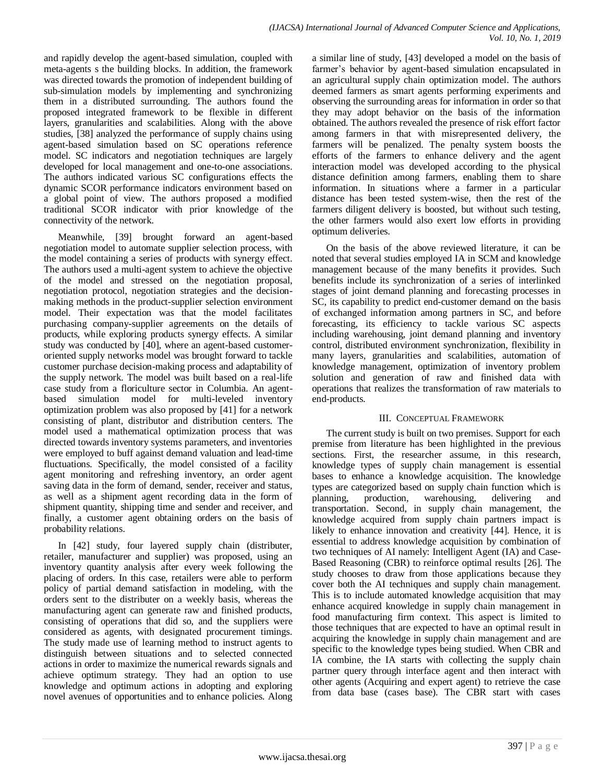and rapidly develop the agent-based simulation, coupled with meta-agents s the building blocks. In addition, the framework was directed towards the promotion of independent building of sub-simulation models by implementing and synchronizing them in a distributed surrounding. The authors found the proposed integrated framework to be flexible in different layers, granularities and scalabilities. Along with the above studies, [\[38\]](#page-8-32) analyzed the performance of supply chains using agent-based simulation based on SC operations reference model. SC indicators and negotiation techniques are largely developed for local management and one-to-one associations. The authors indicated various SC configurations effects the dynamic SCOR performance indicators environment based on a global point of view. The authors proposed a modified traditional SCOR indicator with prior knowledge of the connectivity of the network.

Meanwhile, [\[39\]](#page-8-33) brought forward an agent-based negotiation model to automate supplier selection process, with the model containing a series of products with synergy effect. The authors used a multi-agent system to achieve the objective of the model and stressed on the negotiation proposal, negotiation protocol, negotiation strategies and the decisionmaking methods in the product-supplier selection environment model. Their expectation was that the model facilitates purchasing company-supplier agreements on the details of products, while exploring products synergy effects. A similar study was conducted by [\[40\]](#page-8-34), where an agent-based customeroriented supply networks model was brought forward to tackle customer purchase decision-making process and adaptability of the supply network. The model was built based on a real-life case study from a floriculture sector in Columbia. An agentbased simulation model for multi-leveled inventory optimization problem was also proposed by [\[41\]](#page-8-35) for a network consisting of plant, distributor and distribution centers. The model used a mathematical optimization process that was directed towards inventory systems parameters, and inventories were employed to buff against demand valuation and lead-time fluctuations. Specifically, the model consisted of a facility agent monitoring and refreshing inventory, an order agent saving data in the form of demand, sender, receiver and status, as well as a shipment agent recording data in the form of shipment quantity, shipping time and sender and receiver, and finally, a customer agent obtaining orders on the basis of probability relations.

In [\[42\]](#page-8-36) study, four layered supply chain (distributer, retailer, manufacturer and supplier) was proposed, using an inventory quantity analysis after every week following the placing of orders. In this case, retailers were able to perform policy of partial demand satisfaction in modeling, with the orders sent to the distributer on a weekly basis, whereas the manufacturing agent can generate raw and finished products, consisting of operations that did so, and the suppliers were considered as agents, with designated procurement timings. The study made use of learning method to instruct agents to distinguish between situations and to selected connected actions in order to maximize the numerical rewards signals and achieve optimum strategy. They had an option to use knowledge and optimum actions in adopting and exploring novel avenues of opportunities and to enhance policies. Along

a similar line of study, [\[43\]](#page-8-37) developed a model on the basis of farmer's behavior by agent-based simulation encapsulated in an agricultural supply chain optimization model. The authors deemed farmers as smart agents performing experiments and observing the surrounding areas for information in order so that they may adopt behavior on the basis of the information obtained. The authors revealed the presence of risk effort factor among farmers in that with misrepresented delivery, the farmers will be penalized. The penalty system boosts the efforts of the farmers to enhance delivery and the agent interaction model was developed according to the physical distance definition among farmers, enabling them to share information. In situations where a farmer in a particular distance has been tested system-wise, then the rest of the farmers diligent delivery is boosted, but without such testing, the other farmers would also exert low efforts in providing optimum deliveries.

On the basis of the above reviewed literature, it can be noted that several studies employed IA in SCM and knowledge management because of the many benefits it provides. Such benefits include its synchronization of a series of interlinked stages of joint demand planning and forecasting processes in SC, its capability to predict end-customer demand on the basis of exchanged information among partners in SC, and before forecasting, its efficiency to tackle various SC aspects including warehousing, joint demand planning and inventory control, distributed environment synchronization, flexibility in many layers, granularities and scalabilities, automation of knowledge management, optimization of inventory problem solution and generation of raw and finished data with operations that realizes the transformation of raw materials to end-products.

## III. CONCEPTUAL FRAMEWORK

The current study is built on two premises. Support for each premise from literature has been highlighted in the previous sections. First, the researcher assume, in this research, knowledge types of supply chain management is essential bases to enhance a knowledge acquisition. The knowledge types are categorized based on supply chain function which is planning, production, warehousing, delivering and transportation. Second, in supply chain management, the knowledge acquired from supply chain partners impact is likely to enhance innovation and creativity [\[44\]](#page-9-0). Hence, it is essential to address knowledge acquisition by combination of two techniques of AI namely: Intelligent Agent (IA) and Case-Based Reasoning (CBR) to reinforce optimal results [\[26\]](#page-8-20). The study chooses to draw from those applications because they cover both the AI techniques and supply chain management. This is to include automated knowledge acquisition that may enhance acquired knowledge in supply chain management in food manufacturing firm context. This aspect is limited to those techniques that are expected to have an optimal result in acquiring the knowledge in supply chain management and are specific to the knowledge types being studied. When CBR and IA combine, the IA starts with collecting the supply chain partner query through interface agent and then interact with other agents (Acquiring and expert agent) to retrieve the case from data base (cases base). The CBR start with cases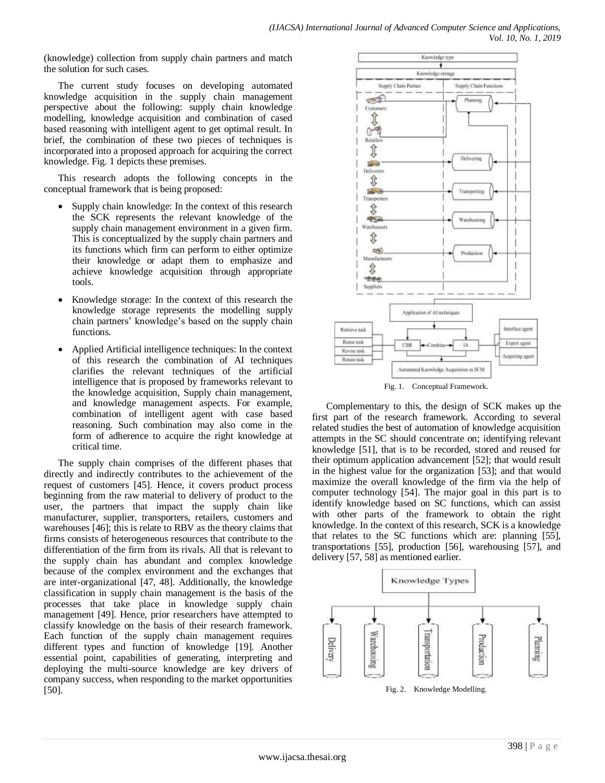(knowledge) collection from supply chain partners and match the solution for such cases.

The current study focuses on developing automated knowledge acquisition in the supply chain management perspective about the following: supply chain knowledge modelling, knowledge acquisition and combination of cased based reasoning with intelligent agent to get optimal result. In brief, the combination of these two pieces of techniques is incorporated into a proposed approach for acquiring the correct knowledge. Fig. 1 depicts these premises.

This research adopts the following concepts in the conceptual framework that is being proposed:

- Supply chain knowledge: In the context of this research the SCK represents the relevant knowledge of the supply chain management environment in a given firm. This is conceptualized by the supply chain partners and its functions which firm can perform to either optimize their knowledge or adapt them to emphasize and achieve knowledge acquisition through appropriate tools.
- Knowledge storage: In the context of this research the knowledge storage represents the modelling supply chain partners' knowledge's based on the supply chain functions.
- Applied Artificial intelligence techniques: In the context of this research the combination of AI techniques clarifies the relevant techniques of the artificial intelligence that is proposed by frameworks relevant to the knowledge acquisition, Supply chain management, and knowledge management aspects. For example, combination of intelligent agent with case based reasoning. Such combination may also come in the form of adherence to acquire the right knowledge at critical time.

The supply chain comprises of the different phases that directly and indirectly contributes to the achievement of the request of customers [\[45\]](#page-9-1). Hence, it covers product process beginning from the raw material to delivery of product to the user, the partners that impact the supply chain like manufacturer, supplier, transporters, retailers, customers and warehouses [\[46\]](#page-9-2); this is relate to RBV as the theory claims that firms consists of heterogeneous resources that contribute to the differentiation of the firm from its rivals. All that is relevant to the supply chain has abundant and complex knowledge because of the complex environment and the exchanges that are inter-organizational [\[47,](#page-9-3) [48\]](#page-9-4). Additionally, the knowledge classification in supply chain management is the basis of the processes that take place in knowledge supply chain management [\[49\]](#page-9-5). Hence, prior researchers have attempted to classify knowledge on the basis of their research framework. Each function of the supply chain management requires different types and function of knowledge [\[19\]](#page-8-13). Another essential point, capabilities of generating, interpreting and deploying the multi-source knowledge are key drivers of company success, when responding to the market opportunities [\[50\]](#page-9-6).



Fig. 1. Conceptual Framework.

Complementary to this, the design of SCK makes up the first part of the research framework. According to several related studies the best of automation of knowledge acquisition attempts in the SC should concentrate on; identifying relevant knowledge [\[51\]](#page-9-7), that is to be recorded, stored and reused for their optimum application advancement [\[52\]](#page-9-8); that would result in the highest value for the organization [\[53\]](#page-9-9); and that would maximize the overall knowledge of the firm via the help of computer technology [\[54\]](#page-9-10). The major goal in this part is to identify knowledge based on SC functions, which can assist with other parts of the framework to obtain the right knowledge. In the context of this research, SCK is a knowledge that relates to the SC functions which are: planning [\[55\]](#page-9-11), transportations [\[55\]](#page-9-11), production [\[56\]](#page-9-12), warehousing [\[57\]](#page-9-13), and delivery [\[57,](#page-9-13) [58\]](#page-9-14) as mentioned earlier.

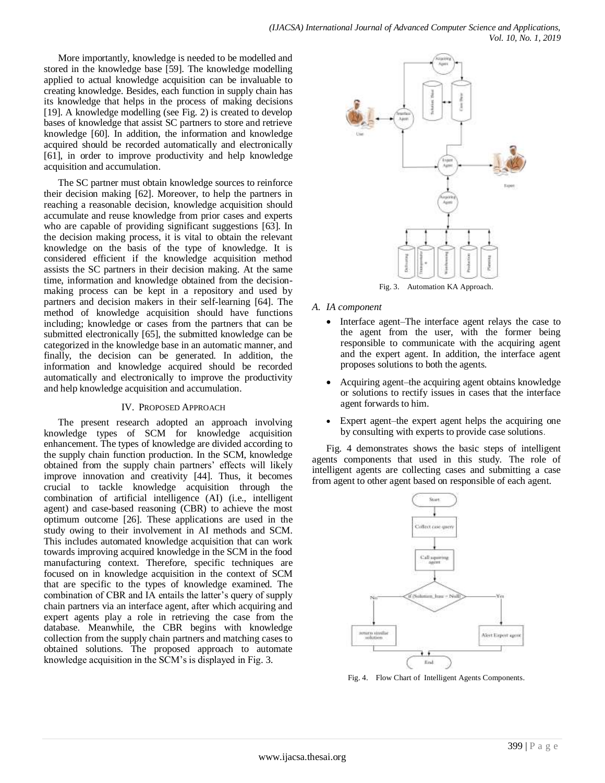More importantly, knowledge is needed to be modelled and stored in the knowledge base [\[59\]](#page-9-15). The knowledge modelling applied to actual knowledge acquisition can be invaluable to creating knowledge. Besides, each function in supply chain has its knowledge that helps in the process of making decisions [\[19\]](#page-8-13). A knowledge modelling (see Fig. 2) is created to develop bases of knowledge that assist SC partners to store and retrieve knowledge [\[60\]](#page-9-16). In addition, the information and knowledge acquired should be recorded automatically and electronically [\[61\]](#page-9-17), in order to improve productivity and help knowledge acquisition and accumulation.

The SC partner must obtain knowledge sources to reinforce their decision making [\[62\]](#page-9-18). Moreover, to help the partners in reaching a reasonable decision, knowledge acquisition should accumulate and reuse knowledge from prior cases and experts who are capable of providing significant suggestions [\[63\]](#page-9-19). In the decision making process, it is vital to obtain the relevant knowledge on the basis of the type of knowledge. It is considered efficient if the knowledge acquisition method assists the SC partners in their decision making. At the same time, information and knowledge obtained from the decisionmaking process can be kept in a repository and used by partners and decision makers in their self-learning [\[64\]](#page-9-20). The method of knowledge acquisition should have functions including; knowledge or cases from the partners that can be submitted electronically [\[65\]](#page-9-21), the submitted knowledge can be categorized in the knowledge base in an automatic manner, and finally, the decision can be generated. In addition, the information and knowledge acquired should be recorded automatically and electronically to improve the productivity and help knowledge acquisition and accumulation.

#### IV. PROPOSED APPROACH

The present research adopted an approach involving knowledge types of SCM for knowledge acquisition enhancement. The types of knowledge are divided according to the supply chain function production. In the SCM, knowledge obtained from the supply chain partners' effects will likely improve innovation and creativity [\[44\]](#page-9-0). Thus, it becomes crucial to tackle knowledge acquisition through the combination of artificial intelligence (AI) (i.e., intelligent agent) and case-based reasoning (CBR) to achieve the most optimum outcome [\[26\]](#page-8-20). These applications are used in the study owing to their involvement in AI methods and SCM. This includes automated knowledge acquisition that can work towards improving acquired knowledge in the SCM in the food manufacturing context. Therefore, specific techniques are focused on in knowledge acquisition in the context of SCM that are specific to the types of knowledge examined. The combination of CBR and IA entails the latter's query of supply chain partners via an interface agent, after which acquiring and expert agents play a role in retrieving the case from the database. Meanwhile, the CBR begins with knowledge collection from the supply chain partners and matching cases to obtained solutions. The proposed approach to automate knowledge acquisition in the SCM's is displayed in Fig. 3.



Fig. 3. Automation KA Approach.

- *A. IA component*
	- Interface agent–The interface agent relays the case to the agent from the user, with the former being responsible to communicate with the acquiring agent and the expert agent. In addition, the interface agent proposes solutions to both the agents.
	- Acquiring agent–the acquiring agent obtains knowledge or solutions to rectify issues in cases that the interface agent forwards to him.
	- Expert agent–the expert agent helps the acquiring one by consulting with experts to provide case solutions.

Fig. 4 demonstrates shows the basic steps of intelligent agents components that used in this study. The role of intelligent agents are collecting cases and submitting a case from agent to other agent based on responsible of each agent.



Fig. 4. Flow Chart of Intelligent Agents Components.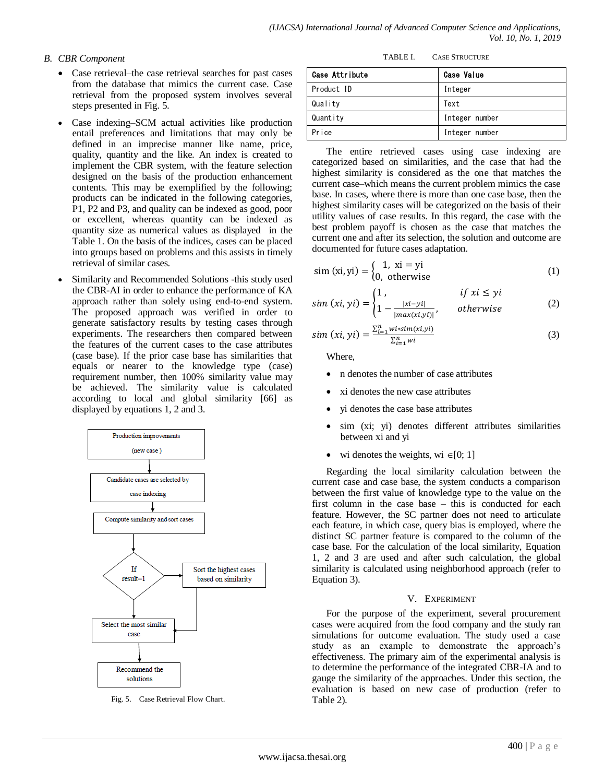## *B. CBR Component*

- Case retrieval–the case retrieval searches for past cases from the database that mimics the current case. Case retrieval from the proposed system involves several steps presented in Fig. 5.
- Case indexing–SCM actual activities like production entail preferences and limitations that may only be defined in an imprecise manner like name, price, quality, quantity and the like. An index is created to implement the CBR system, with the feature selection designed on the basis of the production enhancement contents. This may be exemplified by the following; products can be indicated in the following categories, P1, P2 and P3, and quality can be indexed as good, poor or excellent, whereas quantity can be indexed as quantity size as numerical values as displayed in the Table 1. On the basis of the indices, cases can be placed into groups based on problems and this assists in timely retrieval of similar cases.
- Similarity and Recommended Solutions -this study used the CBR-AI in order to enhance the performance of KA approach rather than solely using end-to-end system. The proposed approach was verified in order to generate satisfactory results by testing cases through experiments. The researchers then compared between the features of the current cases to the case attributes (case base). If the prior case base has similarities that equals or nearer to the knowledge type (case) requirement number, then 100% similarity value may be achieved. The similarity value is calculated according to local and global similarity [\[66\]](#page-9-22) as displayed by equations 1, 2 and 3.



Fig. 5. Case Retrieval Flow Chart.

| TABLE L | <b>CASE STRUCTURE</b> |
|---------|-----------------------|
|         |                       |

| Case Attribute | <b>Case Value</b> |
|----------------|-------------------|
| Product ID     | Integer           |
| Quality        | Text              |
| Quantity       | Integer number    |
| Price          | Integer number    |

The entire retrieved cases using case indexing are categorized based on similarities, and the case that had the highest similarity is considered as the one that matches the current case–which means the current problem mimics the case base. In cases, where there is more than one case base, then the highest similarity cases will be categorized on the basis of their utility values of case results. In this regard, the case with the best problem payoff is chosen as the case that matches the current one and after its selection, the solution and outcome are documented for future cases adaptation.

$$
\text{sim (xi, yi)} = \begin{cases} 1, \ \text{xi} = \text{yi} \\ 0, \ \text{otherwise} \end{cases} \tag{1}
$$

$$
sim (xi, yi) = \begin{cases} 1, & if xi \le yi \\ 1 - \frac{|xi - yi|}{|max(xi, yi)|}, & otherwise \end{cases}
$$
 (2)

$$
sim (xi, yi) = \frac{\sum_{i=1}^{n} w i * sim(x i, yi)}{\sum_{i=1}^{n} w i}
$$
\n(3)

Where,

- n denotes the number of case attributes
- xi denotes the new case attributes
- yi denotes the case base attributes
- sim (xi; yi) denotes different attributes similarities between xi and yi
- wi denotes the weights, wi  $\in [0; 1]$

Regarding the local similarity calculation between the current case and case base, the system conducts a comparison between the first value of knowledge type to the value on the first column in the case base – this is conducted for each feature. However, the SC partner does not need to articulate each feature, in which case, query bias is employed, where the distinct SC partner feature is compared to the column of the case base. For the calculation of the local similarity, Equation 1, 2 and 3 are used and after such calculation, the global similarity is calculated using neighborhood approach (refer to Equation 3).

#### V. EXPERIMENT

For the purpose of the experiment, several procurement cases were acquired from the food company and the study ran simulations for outcome evaluation. The study used a case study as an example to demonstrate the approach's effectiveness. The primary aim of the experimental analysis is to determine the performance of the integrated CBR-IA and to gauge the similarity of the approaches. Under this section, the evaluation is based on new case of production (refer to Table 2).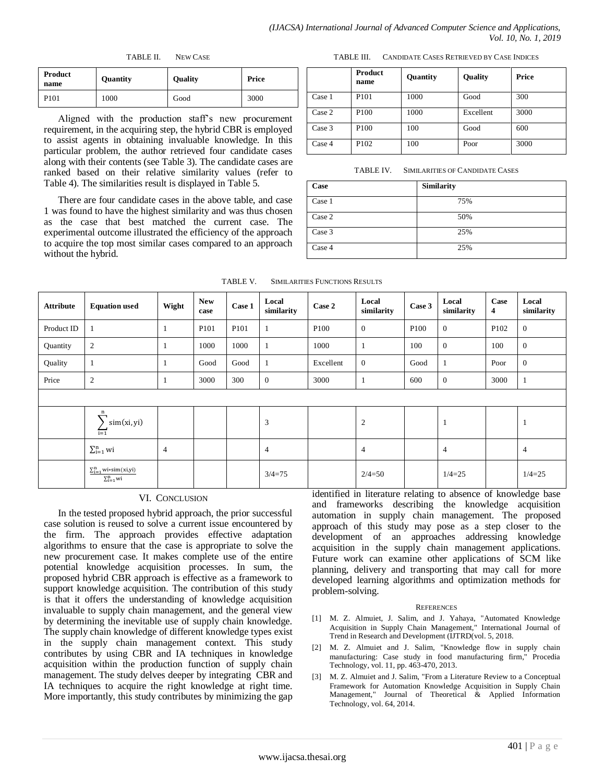TABLE II. NEW CASE

| <b>Product</b><br>name | Quantity | <b>Quality</b> | Price |  |
|------------------------|----------|----------------|-------|--|
| P101                   | 1000     | Good           | 3000  |  |

Aligned with the production staff's new procurement requirement, in the acquiring step, the hybrid CBR is employed to assist agents in obtaining invaluable knowledge. In this particular problem, the author retrieved four candidate cases along with their contents (see Table 3). The candidate cases are ranked based on their relative similarity values (refer to Table 4). The similarities result is displayed in Table 5.

There are four candidate cases in the above table, and case 1 was found to have the highest similarity and was thus chosen as the case that best matched the current case. The experimental outcome illustrated the efficiency of the approach to acquire the top most similar cases compared to an approach without the hybrid.

|        | <b>Product</b><br>name | Quantity | <b>Quality</b> | Price |
|--------|------------------------|----------|----------------|-------|
| Case 1 | P <sub>101</sub>       | 1000     | Good           | 300   |
| Case 2 | P <sub>100</sub>       | 1000     | Excellent      | 3000  |
| Case 3 | P <sub>100</sub>       | 100      | Good           | 600   |
| Case 4 | P <sub>102</sub>       | 100      | Poor           | 3000  |

TABLE III. CANDIDATE CASES RETRIEVED BY CASE INDICES

TABLE IV. SIMILARITIES OF CANDIDATE CASES

| Case   | <b>Similarity</b> |
|--------|-------------------|
| Case 1 | 75%               |
| Case 2 | 50%               |
| Case 3 | 25%               |
| Case 4 | 25%               |

TABLE V. SIMILARITIES FUNCTIONS RESULTS

| <b>Attribute</b> | <b>Equation</b> used                                     | Wight          | <b>New</b><br>case | Case 1 | Local<br>similarity | Case 2           | Local<br>similarity | Case 3           | Local<br>similarity | Case<br>$\overline{4}$ | Local<br>similarity |
|------------------|----------------------------------------------------------|----------------|--------------------|--------|---------------------|------------------|---------------------|------------------|---------------------|------------------------|---------------------|
| Product ID       |                                                          | 1              | P <sub>101</sub>   | P101   | $\mathbf{1}$        | P <sub>100</sub> | $\mathbf{0}$        | P <sub>100</sub> | $\mathbf{0}$        | P <sub>102</sub>       | $\overline{0}$      |
| Quantity         | $\mathbf{2}$                                             | $\mathbf{1}$   | 1000               | 1000   | $\mathbf{1}$        | 1000             | 1                   | 100              | $\mathbf{0}$        | 100                    | $\theta$            |
| Quality          |                                                          | -1             | Good               | Good   | 1                   | Excellent        | $\theta$            | Good             | $\mathbf{1}$        | Poor                   | $\overline{0}$      |
| Price            | $\overline{2}$                                           | 1              | 3000               | 300    | $\mathbf{0}$        | 3000             | $\mathbf{1}$        | 600              | $\mathbf{0}$        | 3000                   | -1                  |
|                  |                                                          |                |                    |        |                     |                  |                     |                  |                     |                        |                     |
|                  | n<br>sim(xi, yi)<br>$\overline{1}$                       |                |                    |        | 3                   |                  | $\overline{c}$      |                  | 1                   |                        | $\mathbf{I}$        |
|                  | $\sum_{i=1}^{n}$ wi                                      | $\overline{4}$ |                    |        | $\overline{4}$      |                  | $\overline{4}$      |                  | 4                   |                        | $\overline{4}$      |
|                  | $\sum_{i=1}^{n} w i * sim(xi,yi)$<br>$\Sigma_{i=1}^n$ wi |                |                    |        | $3/4=75$            |                  | $2/4=50$            |                  | $1/4=25$            |                        | $1/4=25$            |

## VI. CONCLUSION

In the tested proposed hybrid approach, the prior successful case solution is reused to solve a current issue encountered by the firm. The approach provides effective adaptation algorithms to ensure that the case is appropriate to solve the new procurement case. It makes complete use of the entire potential knowledge acquisition processes. In sum, the proposed hybrid CBR approach is effective as a framework to support knowledge acquisition. The contribution of this study is that it offers the understanding of knowledge acquisition invaluable to supply chain management, and the general view by determining the inevitable use of supply chain knowledge. The supply chain knowledge of different knowledge types exist in the supply chain management context. This study contributes by using CBR and IA techniques in knowledge acquisition within the production function of supply chain management. The study delves deeper by integrating CBR and IA techniques to acquire the right knowledge at right time. More importantly, this study contributes by minimizing the gap identified in literature relating to absence of knowledge base and frameworks describing the knowledge acquisition automation in supply chain management. The proposed approach of this study may pose as a step closer to the development of an approaches addressing knowledge acquisition in the supply chain management applications. Future work can examine other applications of SCM like planning, delivery and transporting that may call for more developed learning algorithms and optimization methods for problem-solving.

#### **REFERENCES**

- <span id="page-7-0"></span>[1] M. Z. Almuiet, J. Salim, and J. Yahaya, "Automated Knowledge Acquisition in Supply Chain Management," International Journal of Trend in Research and Development (IJTRD(vol. 5, 2018.
- <span id="page-7-1"></span>[2] M. Z. Almuiet and J. Salim, "Knowledge flow in supply chain manufacturing: Case study in food manufacturing firm," Procedia Technology, vol. 11, pp. 463-470, 2013.
- <span id="page-7-2"></span>[3] M. Z. Almuiet and J. Salim, "From a Literature Review to a Conceptual Framework for Automation Knowledge Acquisition in Supply Chain Management," Journal of Theoretical & Applied Information Technology, vol. 64, 2014.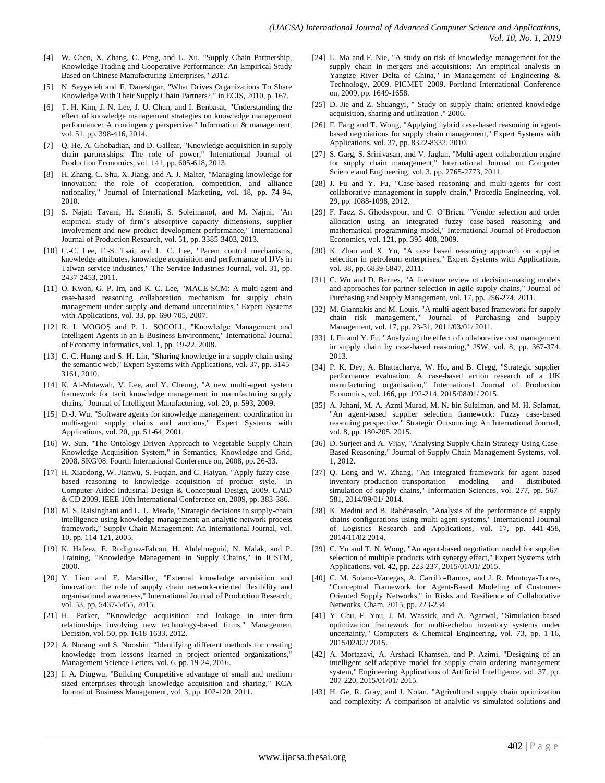- <span id="page-8-0"></span>[4] W. Chen, X. Zhang, C. Peng, and L. Xu, "Supply Chain Partnership, Knowledge Trading and Cooperative Performance: An Empirical Study Based on Chinese Manufacturing Enterprises," 2012.
- <span id="page-8-1"></span>[5] N. Seyyedeh and F. Daneshgar, "What Drives Organizations To Share Knowledge With Their Supply Chain Partners?," in ECIS, 2010, p. 167.
- <span id="page-8-2"></span>[6] T. H. Kim, J.-N. Lee, J. U. Chun, and I. Benbasat, "Understanding the effect of knowledge management strategies on knowledge management performance: A contingency perspective," Information & management, vol. 51, pp. 398-416, 2014.
- <span id="page-8-3"></span>[7] Q. He, A. Ghobadian, and D. Gallear, "Knowledge acquisition in supply chain partnerships: The role of power," International Journal of Production Economics, vol. 141, pp. 605-618, 2013.
- <span id="page-8-4"></span>[8] H. Zhang, C. Shu, X. Jiang, and A. J. Malter, "Managing knowledge for innovation: the role of cooperation, competition, and alliance nationality," Journal of International Marketing, vol. 18, pp. 74-94, 2010.
- <span id="page-8-5"></span>[9] S. Najafi Tavani, H. Sharifi, S. Soleimanof, and M. Najmi, "An empirical study of firm's absorptive capacity dimensions, supplier involvement and new product development performance," International Journal of Production Research, vol. 51, pp. 3385-3403, 2013.
- <span id="page-8-6"></span>[10] C.-C. Lee, F.-S. Tsai, and L. C. Lee, "Parent control mechanisms, knowledge attributes, knowledge acquisition and performance of IJVs in Taiwan service industries," The Service Industries Journal, vol. 31, pp. 2437-2453, 2011.
- <span id="page-8-7"></span>[11] O. Kwon, G. P. Im, and K. C. Lee, "MACE-SCM: A multi-agent and case-based reasoning collaboration mechanism for supply chain management under supply and demand uncertainties," Expert Systems with Applications, vol. 33, pp. 690-705, 2007.
- [12] R. I. MOGOS and P. L. SOCOLL, "Knowledge Management and Intelligent Agents in an E-Business Environment," International Journal of Economy Informatics, vol. 1, pp. 19-22, 2008.
- [13] C.-C. Huang and S.-H. Lin, "Sharing knowledge in a supply chain using the semantic web," Expert Systems with Applications, vol. 37, pp. 3145- 3161, 2010.
- <span id="page-8-8"></span>[14] K. Al-Mutawah, V. Lee, and Y. Cheung, "A new multi-agent system framework for tacit knowledge management in manufacturing supply chains," Journal of Intelligent Manufacturing, vol. 20, p. 593, 2009.
- <span id="page-8-9"></span>[15] D.-J. Wu, "Software agents for knowledge management: coordination in multi-agent supply chains and auctions," Expert Systems with Applications, vol. 20, pp. 51-64, 2001.
- <span id="page-8-10"></span>[16] W. Sun, "The Ontology Driven Approach to Vegetable Supply Chain Knowledge Acquisition System," in Semantics, Knowledge and Grid, 2008. SKG'08. Fourth International Conference on, 2008, pp. 26-33.
- <span id="page-8-11"></span>[17] H. Xiaodong, W. Jianwu, S. Fuqian, and C. Haiyan, "Apply fuzzy casebased reasoning to knowledge acquisition of product style," in Computer-Aided Industrial Design & Conceptual Design, 2009. CAID & CD 2009. IEEE 10th International Conference on, 2009, pp. 383-386.
- <span id="page-8-12"></span>[18] M. S. Raisinghani and L. L. Meade, "Strategic decisions in supply-chain intelligence using knowledge management: an analytic-network-process framework," Supply Chain Management: An International Journal, vol. 10, pp. 114-121, 2005.
- <span id="page-8-13"></span>[19] K. Hafeez, E. Rodiguez-Falcon, H. Abdelmeguid, N. Malak, and P. Training, "Knowledge Management in Supply Chains," in ICSTM, 2000.
- <span id="page-8-14"></span>[20] Y. Liao and E. Marsillac, "External knowledge acquisition and innovation: the role of supply chain network-oriented flexibility and organisational awareness," International Journal of Production Research, vol. 53, pp. 5437-5455, 2015.
- <span id="page-8-15"></span>[21] H. Parker, "Knowledge acquisition and leakage in inter-firm relationships involving new technology-based firms," Management Decision, vol. 50, pp. 1618-1633, 2012.
- <span id="page-8-16"></span>[22] A. Norang and S. Nooshin, "Identifying different methods for creating knowledge from lessons learned in project oriented organizations," Management Science Letters, vol. 6, pp. 19-24, 2016.
- <span id="page-8-17"></span>[23] I. A. Diugwu, "Building Competitive advantage of small and medium sized enterprises through knowledge acquisition and sharing," KCA Journal of Business Management, vol. 3, pp. 102-120, 2011.
- <span id="page-8-18"></span>[24] L. Ma and F. Nie, "A study on risk of knowledge management for the supply chain in mergers and acquisitions: An empirical analysis in Yangtze River Delta of China," in Management of Engineering & Technology, 2009. PICMET 2009. Portland International Conference on, 2009, pp. 1649-1658.
- <span id="page-8-19"></span>[25] D. Jie and Z. Shuangyi, " Study on supply chain: oriented knowledge acquisition, sharing and utilization ." 2006.
- <span id="page-8-20"></span>[26] F. Fang and T. Wong, "Applying hybrid case-based reasoning in agentbased negotiations for supply chain management," Expert Systems with Applications, vol. 37, pp. 8322-8332, 2010.
- <span id="page-8-21"></span>[27] S. Garg, S. Srinivasan, and V. Jaglan, "Multi-agent collaboration engine for supply chain management," International Journal on Computer Science and Engineering, vol. 3, pp. 2765-2773, 2011.
- <span id="page-8-22"></span>[28] J. Fu and Y. Fu, "Case-based reasoning and multi-agents for cost collaborative management in supply chain," Procedia Engineering, vol. 29, pp. 1088-1098, 2012.
- <span id="page-8-23"></span>[29] F. Faez, S. Ghodsypour, and C. O'Brien, "Vendor selection and order allocation using an integrated fuzzy case-based reasoning and mathematical programming model," International Journal of Production Economics, vol. 121, pp. 395-408, 2009.
- <span id="page-8-24"></span>[30] K. Zhao and X. Yu, "A case based reasoning approach on supplier selection in petroleum enterprises," Expert Systems with Applications, vol. 38, pp. 6839-6847, 2011.
- <span id="page-8-25"></span>[31] C. Wu and D. Barnes, "A literature review of decision-making models and approaches for partner selection in agile supply chains," Journal of Purchasing and Supply Management, vol. 17, pp. 256-274, 2011.
- <span id="page-8-26"></span>[32] M. Giannakis and M. Louis, "A multi-agent based framework for supply chain risk management," Journal of Purchasing and Supply Management, vol. 17, pp. 23-31, 2011/03/01/ 2011.
- <span id="page-8-27"></span>[33] J. Fu and Y. Fu, "Analyzing the effect of collaborative cost management in supply chain by case-based reasoning," JSW, vol. 8, pp. 367-374, 2013.
- <span id="page-8-28"></span>[34] P. K. Dey, A. Bhattacharya, W. Ho, and B. Clegg, "Strategic supplier performance evaluation: A case-based action research of a UK manufacturing organisation," International Journal of Production Economics, vol. 166, pp. 192-214, 2015/08/01/ 2015.
- <span id="page-8-29"></span>[35] A. Jahani, M. A. Azmi Murad, M. N. bin Sulaiman, and M. H. Selamat, "An agent-based supplier selection framework: Fuzzy case-based reasoning perspective," Strategic Outsourcing: An International Journal, vol. 8, pp. 180-205, 2015.
- <span id="page-8-30"></span>[36] D. Surjeet and A. Vijay, "Analysing Supply Chain Strategy Using Case-Based Reasoning," Journal of Supply Chain Management Systems, vol. 1, 2012.
- <span id="page-8-31"></span>[37] Q. Long and W. Zhang, "An integrated framework for agent based inventory–production–transportation modeling and distributed simulation of supply chains," Information Sciences, vol. 277, pp. 567- 581, 2014/09/01/ 2014.
- <span id="page-8-32"></span>[38] K. Medini and B. Rabénasolo, "Analysis of the performance of supply chains configurations using multi-agent systems," International Journal of Logistics Research and Applications, vol. 17, pp. 441-458, 2014/11/02 2014.
- <span id="page-8-33"></span>[39] C. Yu and T. N. Wong, "An agent-based negotiation model for supplier selection of multiple products with synergy effect," Expert Systems with Applications, vol. 42, pp. 223-237, 2015/01/01/ 2015.
- <span id="page-8-34"></span>[40] C. M. Solano-Vanegas, A. Carrillo-Ramos, and J. R. Montoya-Torres, "Conceptual Framework for Agent-Based Modeling of Customer-Oriented Supply Networks," in Risks and Resilience of Collaborative Networks, Cham, 2015, pp. 223-234.
- <span id="page-8-35"></span>[41] Y. Chu, F. You, J. M. Wassick, and A. Agarwal, "Simulation-based optimization framework for multi-echelon inventory systems under uncertainty," Computers & Chemical Engineering, vol. 73, pp. 1-16, 2015/02/02/ 2015.
- <span id="page-8-36"></span>[42] A. Mortazavi, A. Arshadi Khamseh, and P. Azimi, "Designing of an intelligent self-adaptive model for supply chain ordering management system," Engineering Applications of Artificial Intelligence, vol. 37, pp. 207-220, 2015/01/01/ 2015.
- <span id="page-8-37"></span>[43] H. Ge, R. Gray, and J. Nolan, "Agricultural supply chain optimization and complexity: A comparison of analytic vs simulated solutions and